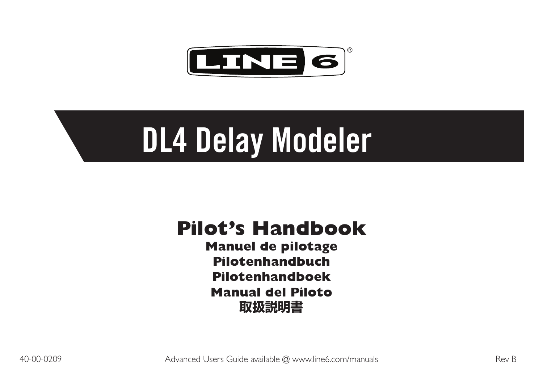

# **DL4 Delay Modeler**

# **Pilot's Handbook**

**Manuel de pilotage Pilotenhandbuch Pilotenhandboek Manual del Piloto 取扱説明書**

40-00-0209 Advanced Users Guide available @ www.line6.com/manuals Rev B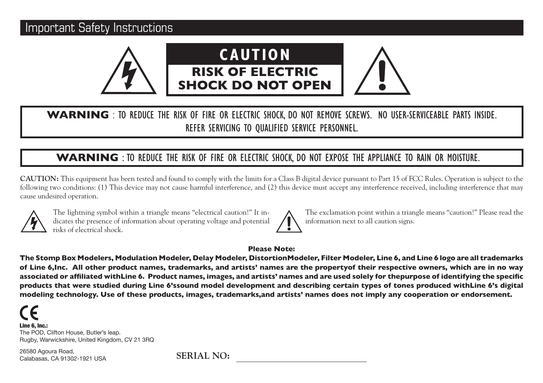# Important Safety Instructions



# **WARNING** : TO REDUCE THE RISK OF FIRE OR ELECTRIC SHOCK, DO NOT REMOVE SCREWS. NO USER-SERVICEABLE PARTS INSIDE. REFER SERVICING TO QUALIFIED SERVICE PERSONNEL.

# **WARNING** : TO REDUCE THE RISK OF FIRE OR ELECTRIC SHOCK, DO NOT EXPOSE THE APPLIANCE TO RAIN OR MOISTURE.

**CAUTION:** This equipment has been tested and found to comply with the limits for a Class B digital device pursuant to Part 15 of FCC Rules. Operation is subject to the following two conditions: (1) This device may not cause harmful interference, and (2) this device must accept any interference received, including interference that may cause undesired operation.



The lightning symbol within a triangle means "electrical caution!" It indicates the presence of information about operating voltage and potential risks of electrical shock.

The exclamation point within a triangle means "caution!" Please read the information next to all caution signs.

#### **Please Note:**

**The Stomp Box Modelers, Modulation Modeler, Delay Modeler, DistortionModeler, Filter Modeler, Line 6, and Line 6 logo are all trademarks of Line 6,Inc. All other product names, trademarks, and artists' names are the propertyof their respective owners, which are in no way associated or affiliated withLine 6. Product names, images, and artists' names and are used solely for thepurpose of identifying the specific products that were studied during Line 6'ssound model development and describing certain types of tones produced withLine 6's digital modeling technology. Use of these products, images, trademarks,and artists' names does not imply any cooperation or endorsement.**

Line 6, Inc.: The POD, Clifton House, Butler's leap. Rugby, Warwickshire, United Kingdom, CV 21 3RQ

26580 Agoura Road, Calabasas, CA 91302-1921 USA

**SERIAL NO:**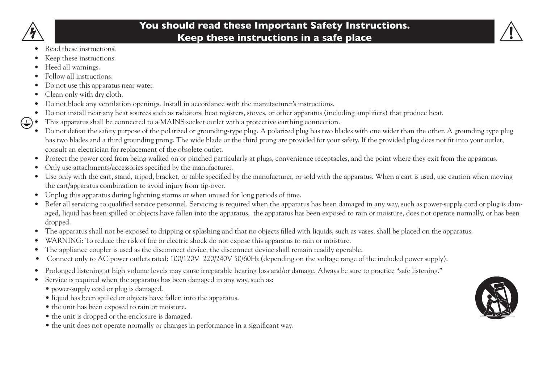

# **You should read these Important Safety Instructions. Keep these instructions in a safe place**



- Read these instructions.
- Keep these instructions.
- Heed all warnings.
- Follow all instructions.
- Do not use this apparatus near water.
- Clean only with dry cloth.
- Do not block any ventilation openings. Install in accordance with the manufacturer's instructions.
- • Do not install near any heat sources such as radiators, heat registers, stoves, or other apparatus (including amplifiers) that produce heat.
- This apparatus shall be connected to a MAINS socket outlet with a protective earthing connection. ఆ
	- Do not defeat the safety purpose of the polarized or grounding-type plug. A polarized plug has two blades with one wider than the other. A grounding type plug has two blades and a third grounding prong. The wide blade or the third prong are provided for your safety. If the provided plug does not fit into your outlet, consult an electrician for replacement of the obsolete outlet.
	- • Protect the power cord from being walked on or pinched particularly at plugs, convenience receptacles, and the point where they exit from the apparatus.
	- Only use attachments/accessories specified by the manufacturer.
	- • Use only with the cart, stand, tripod, bracket, or table specified by the manufacturer, or sold with the apparatus. When a cart is used, use caution when moving the cart/apparatus combination to avoid injury from tip-over.
	- Unplug this apparatus during lightning storms or when unused for long periods of time.
	- Refer all servicing to qualified service personnel. Servicing is required when the apparatus has been damaged in any way, such as power-supply cord or plug is damaged, liquid has been spilled or objects have fallen into the apparatus, the apparatus has been exposed to rain or moisture, does not operate normally, or has been dropped.
	- • The apparatus shall not be exposed to dripping or splashing and that no objects filled with liquids, such as vases, shall be placed on the apparatus.
	- • WARNING: To reduce the risk of fire or electric shock do not expose this apparatus to rain or moisture.
	- The appliance coupler is used as the disconnect device, the disconnect device shall remain readily operable.
	- Connect only to AC power outlets rated: 100/120V 220/240V 50/60Hz (depending on the voltage range of the included power supply).
	- Prolonged listening at high volume levels may cause irreparable hearing loss and/or damage. Always be sure to practice "safe listening."
	- Service is required when the apparatus has been damaged in any way, such as:
		- power-supply cord or plug is damaged.
		- liquid has been spilled or objects have fallen into the apparatus.
		- the unit has been exposed to rain or moisture.
		- the unit is dropped or the enclosure is damaged.
		- the unit does not operate normally or changes in performance in a significant way.

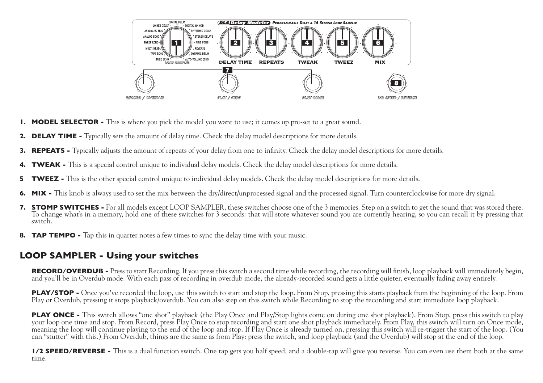

- **1. MODEL SELECTOR -** This is where you pick the model you want to use; it comes up pre-set to a great sound.
- **2. DELAY TIME** Typically sets the amount of delay time. Check the delay model descriptions for more details.
- **3. REPEATS** Typically adjusts the amount of repeats of your delay from one to infinity. Check the delay model descriptions for more details.
- **4. TWEAK** This is a special control unique to individual delay models. Check the delay model descriptions for more details.
- **5 TWEEZ** This is the other special control unique to individual delay models. Check the delay model descriptions for more details.
- **6. MIX** This knob is always used to set the mix between the dry/direct/unprocessed signal and the processed signal. Turn counterclockwise for more dry signal.
- **7. STOMP SWITCHES -** For all models except LOOP SAMPLER, these switches choose one of the 3 memories. Step on a switch to get the sound that was stored there. To change what's in a memory, hold one of these switches for 3 seconds: that will store whatever sound you are currently hearing, so you can recall it by pressing that switch.
- **8. TAP TEMPO** Tap this in quarter notes a few times to sync the delay time with your music.

# **LOOP SAMPLER - Using your switches**

**RECORD/OVERDUB -** Press to start Recording. If you press this switch a second time while recording, the recording will finish, loop playback will immediately begin, and you'll be in Overdub mode. With each pass of recording in overdub mode, the already-recorded sound gets a little quieter, eventually fading away entirely.

**PLAY/STOP -** Once you've recorded the loop, use this switch to start and stop the loop. From Stop, pressing this starts playback from the beginning of the loop. From Play or Overdub, pressing it stops playback/overdub. You can also step on this switch while Recording to stop the recording and start immediate loop playback.

**PLAY ONCE -** This switch allows "one shot" playback (the Play Once and Play/Stop lights come on during one shot playback). From Stop, press this switch to play your loop one time and stop. From Record, press Play Once to stop recording and start one shot playback immediately. From Play, this switch will turn on Once mode, meaning the loop will continue playing to the end of the loop and stop. If Play Once is already turned on, pressing this switch will re-trigger the start of the loop. (You can "stutter" with this.) From Overdub, things are the same as from Play: press the switch, and loop playback (and the Overdub) will stop at the end of the loop.

**1/2 SPEED/REVERSE -** This is a dual function switch. One tap gets you half speed, and a double-tap will give you reverse. You can even use them both at the same time.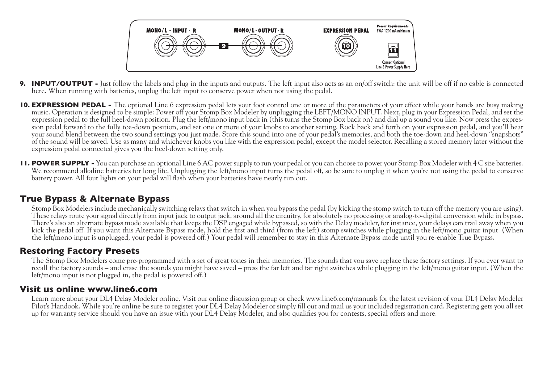

- **9. INPUT/OUTPUT -** Just follow the labels and plug in the inputs and outputs. The left input also acts as an on/off switch: the unit will be off if no cable is connected here. When running with batteries, unplug the left input to conserve power when not using the pedal.
- **10. EXPRESSION PEDAL** The optional Line 6 expression pedal lets your foot control one or more of the parameters of your effect while your hands are busy making music. Operation is designed to be simple: Power off your Stomp Box Modeler by unplugging the LEFT/MONO INPUT. Next, plug in your Expression Pedal, and set the expression pedal to the full heel-down position. Plug the left/mono input back in (this turns the Stomp Box back on) and dial up a sound you like. Now press the expression pedal forward to the fully toe-down position, and set one or more of your knobs to another setting. Rock back and forth on your expression pedal, and you'll hear your sound blend between the two sound settings you just made. Store this sound into one of your pedal's memories, and both the toe-down and heel-down "snapshots" of the sound will be saved. Use as many and whichever knobs you like with the expression pedal, except the model selector. Recalling a stored memory later without the expression pedal connected gives you the heel-down setting only.
- **11. POWER SUPPLY** You can purchase an optional Line 6 AC power supply to run your pedal or you can choose to power your Stomp Box Modeler with 4 C size batteries. We recommend alkaline batteries for long life. Unplugging the left/mono input turns the pedal off, so be sure to unplug it when you're not using the pedal to conserve battery power. All four lights on your pedal will flash when your batteries have nearly run out.

#### **True Bypass & Alternate Bypass**

Stomp Box Modelers include mechanically switching relays that switch in when you bypass the pedal (by kicking the stomp switch to turn off the memory you are using). These relays route your signal directly from input jack to output jack, around all the circuitry, for absolutely no processing or analog-to-digital conversion while in bypass. There's also an alternate bypass mode available that keeps the DSP engaged while bypassed, so with the Delay modeler, for instance, your delays can trail away when you kick the pedal off. If you want this Alternate Bypass mode, hold the first and third (from the left) stomp switches while plugging in the left/mono guitar input. (When the left/mono input is unplugged, your pedal is powered off.) Your pedal will remember to stay in this Alternate Bypass mode until you re-enable True Bypass.

#### **Restoring Factory Presets**

The Stomp Box Modelers come pre-programmed with a set of great tones in their memories. The sounds that you save replace these factory settings. If you ever want to recall the factory sounds – and erase the sounds you might have saved – press the far left and far right switches while plugging in the left/mono guitar input. (When the left/mono input is not plugged in, the pedal is powered off.)

#### **Visit us online www.line6.com**

Learn more about your DL4 Delay Modeler online. Visit our online discussion group or check www.line6.com/manuals for the latest revision of your DL4 Delay Modeler Pilot's Handook. While you're online be sure to register your DL4 Delay Modeler or simply fill out and mail us your included registration card. Registering gets you all set up for warranty service should you have an issue with your DL4 Delay Modeler, and also qualifies you for contests, special offers and more.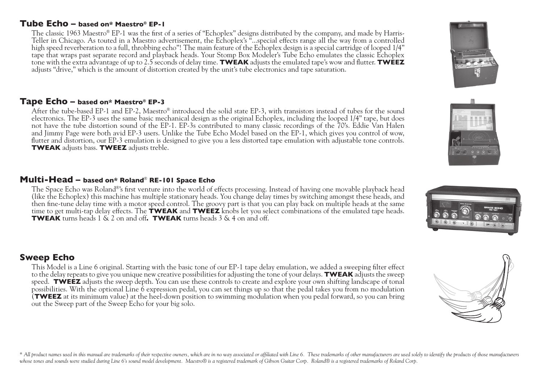#### **Tube Echo – based on\* Maestro® EP-1**

The classic 1963 Maestro® EP-1 was the first of a series of "Echoplex" designs distributed by the company, and made by Harris-Teller in Chicago. As touted in a Maestro advertisement, the Echoplex's "...special effects range all the way from a controlled high speed reverberation to a full, throbbing echo"! The main feature of the Echoplex design is a special cartridge of looped 1/4" tape that wraps past separate record and playback heads. Your Stomp Box Modeler's Tube Echo emulates the classic Echoplex tone with the extra advantage of up to 2.5 seconds of delay time. **TWEAK** adjusts the emulated tape's wow and flutter. **TWEEZ** adjusts "drive," which is the amount of distortion created by the unit's tube electronics and tape saturation.

#### **Tape Echo – based on\* Maestro® EP-3**

After the tube-based EP-1 and EP-2, Maestro® introduced the solid state EP-3, with transistors instead of tubes for the sound electronics. The EP-3 uses the same basic mechanical design as the original Echoplex, including the looped 1/4" tape, but does not have the tube distortion sound of the EP-1. EP-3s contributed to many classic recordings of the 70's. Eddie Van Halen and Jimmy Page were both avid EP-3 users. Unlike the Tube Echo Model based on the EP-1, which gives you control of wow, flutter and distortion, our EP-3 emulation is designed to give you a less distorted tape emulation with adjustable tone controls. **TWEAK** adjusts bass. **TWEEZ** adjusts treble.

#### **Multi-Head – based on\* Roland**® **RE-101 Space Echo**

The Space Echo was Roland®'s first venture into the world of effects processing. Instead of having one movable playback head (like the Echoplex) this machine has multiple stationary heads. You change delay times by switching amongst these heads, and then fine-tune delay time with a motor speed control. The groovy part is that you can play back on multiple heads at the same time to get multi-tap delay effects. The **TWEAK** and **TWEEZ** knobs let you select combinations of the emulated tape heads. **TWEAK** turns heads 1 & 2 on and off**. TWEAK** turns heads 3 & 4 on and off.

#### **Sweep Echo**

This Model is a Line 6 original. Starting with the basic tone of our EP-1 tape delay emulation, we added a sweeping filter effect to the delay repeats to give you unique new creative possibilities for adjusting the tone of your delays. **TWEAK** adjusts the sweep speed. **TWEEZ** adjusts the sweep depth. You can use these controls to create and explore your own shifting landscape of tonal possibilities. With the optional Line 6 expression pedal, you can set things up so that the pedal takes you from no modulation (**TWEEZ** at its minimum value) at the heel-down position to swimming modulation when you pedal forward, so you can bring out the Sweep part of the Sweep Echo for your big solo.

\* All product names used in this manual are trademarks of their respective owners, which are in no way associated or affiliated with Line 6. These trademarks of other manufacturers are used solely to identify the products whose tones and sounds were studied during Line 6's sound model development. Maestro® is a registered trademark of Gibson Guitar Corp. Roland® is a registered trademarks of Roland Corp.



 $000$ 





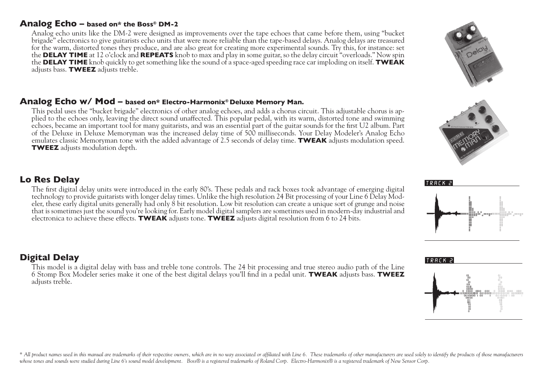#### **Analog Echo – based on\* the Boss® DM-2**

Analog echo units like the DM-2 were designed as improvements over the tape echoes that came before them, using "bucket" brigade" electronics to give guitarists echo units that were more reliable than the tape-based delays. Analog delays are treasured for the warm, distorted tones they produce, and are also great for creating more experimental sounds. Try this, for instance: set the **DELAY TIME** at 12 o'clock and **REPEATS** knob to max and play in some guitar, so the delay circuit "overloads." Now spin the **DELAY TIME** knob quickly to get something like the sound of a space-aged speeding race car imploding on itself. **TWEAK** adjusts bass. **TWEEZ** adjusts treble.

#### **Analog Echo w/ Mod – based on\* Electro-Harmonix® Deluxe Memory Man.**

This pedal uses the "bucket brigade" electronics of other analog echoes, and adds a chorus circuit. This adjustable chorus is applied to the echoes only, leaving the direct sound unaffected. This popular pedal, with its warm, distorted tone and swimming echoes, became an important tool for many guitarists, and was an essential part of the guitar sounds for the first U2 album. Part of the Deluxe in Deluxe Memoryman was the increased delay time of 500 milliseconds. Your Delay Modeler's Analog Echo emulates classic Memoryman tone with the added advantage of 2.5 seconds of delay time. **TWEAK** adjusts modulation speed. **TWEEZ** adjusts modulation depth.

#### **Lo Res Delay**

The first digital delay units were introduced in the early 80's. These pedals and rack boxes took advantage of emerging digital technology to provide guitarists with longer delay times. Unlike the high resolution 24 Bit processing of your Line 6 Delay Modeler, these early digital units generally had only 8 bit resolution. Low bit resolution can create a unique sort of grunge and noise that is sometimes just the sound you're looking for. Early model digital samplers are sometimes used in modern-day industrial and electronica to achieve these effects. **TWEAK** adjusts tone. **TWEEZ** adjusts digital resolution from 6 to 24 bits.

## **Digital Delay**

This model is a digital delay with bass and treble tone controls. The 24 bit processing and true stereo audio path of the Line 6 Stomp Box Modeler series make it one of the best digital delays you'll find in a pedal unit. **TWEAK** adjusts bass. **TWEEZ** adjusts treble.







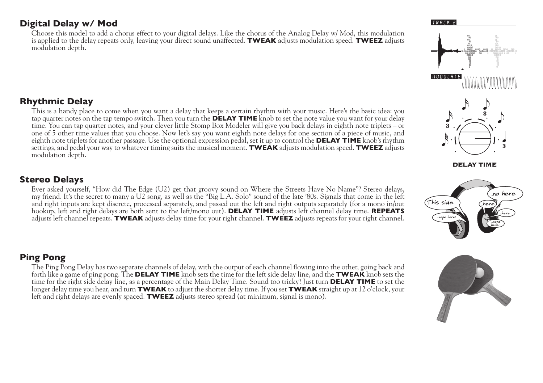#### **Digital Delay w/ Mod**

Choose this model to add a chorus effect to your digital delays. Like the chorus of the Analog Delay w/ Mod, this modulation is applied to the delay repeats only, leaving your direct sound unaffected. **TWEAK** adjusts modulation speed. **TWEEZ** adjusts modulation depth.

## **Rhythmic Delay**

This is a handy place to come when you want a delay that keeps a certain rhythm with your music. Here's the basic idea: you tap quarter notes on the tap tempo switch. Then you turn the **DELAY TIME** knob to set the note value you want for your delay time. You can tap quarter notes, and your clever little Stomp Box Modeler will give you back delays in eighth note triplets – or one of 5 other time values that you choose. Now let's say you want eighth note delays for one section of a piece of music, and eighth note triplets for another passage. Use the optional expression pedal, set it up to control the **DELAY TIME** knob's rhythm settings, and pedal your way to whatever timing suits the musical moment. **TWEAK** adjusts modulation speed. **TWEEZ** adjusts modulation depth.

#### **Stereo Delays**

Ever asked yourself, "How did The Edge (U2) get that groovy sound on Where the Streets Have No Name"? Stereo delays, my friend. It's the secret to many a U2 song, as well as the "Big L.A. Solo" sound of the late '80s. Signals that come in the left and right inputs are kept discrete, processed separately, and passed out the left and right outputs separately (for a mono in/out hookup, left and right delays are both sent to the left/mono out). **DELAY TIME** adjusts left channel delay time. **REPEATS**  adjusts left channel repeats. **TWEAK** adjusts delay time for your right channel. **TWEEZ** adjusts repeats for your right channel.

#### **Ping Pong**

The Ping Pong Delay has two separate channels of delay, with the output of each channel flowing into the other, going back and forth like a game of ping pong. The **DELAY TIME** knob sets the time for the left side delay line, and the **TWEAK** knob sets the time for the right side delay line, as a percentage of the Main Delay Time. Sound too tricky? Just turn **DELAY TIME** to set the longer delay time you hear, and turn **TWEAK** to adjust the shorter delay time. If you set **TWEAK** straight up at 12 o'clock, your left and right delays are evenly spaced. **TWEEZ** adjusts stereo spread (at minimum, signal is mono).

#### TRACK 2





**DELAY TIME** 



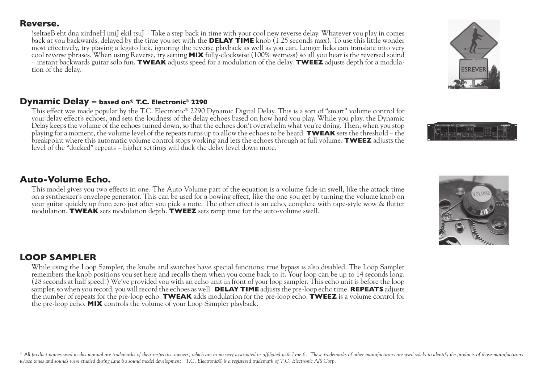#### **Reverse.**

!seltaeB eht dna xirdneH imiJ ekil tsuJ – Take a step back in time with your cool new reverse delay. Whatever you play in comes back at you backwards, delayed by the time you set with the **DELAY TIME** knob (1.25 seconds max). To use this little wonder most effectively, try playing a legato lick, ignoring the reverse playback as well as you can. Longer licks can translate into very cool reverse phrases. When using Reverse, try setting **MIX** fully-clockwise (100% wetness) so all you hear is the reversed sound – instant backwards guitar solo fun. **TWEAK** adjusts speed for a modulation of the delay. **TWEEZ** adjusts depth for a modulation of the delay.

#### **Dynamic Delay – based on\* T.C. Electronic® 2290**

This effect was made popular by the T.C. Electronic® 2290 Dynamic Digital Delay. This is a sort of "smart" volume control for your delay effect's echoes, and sets the loudness of the delay echoes based on how hard you play. While you play, the Dynamic Delay keeps the volume of the echoes turned down, so that the echoes don't overwhelm what you're doing. Then, when you stop playing for a moment, the volume level of the repeats turns up to allow the echoes to be heard. **TWEAK** sets the threshold – the breakpoint where this automatic volume control stops working and lets the echoes through at full volume. **TWEEZ** adjusts the level of the "ducked" repeats – higher settings will duck the delay level down more.

#### **Auto-Volume Echo.**

This model gives you two effects in one. The Auto Volume part of the equation is a volume fade-in swell, like the attack time on a synthesizer's envelope generator. This can be used for a bowing effect, like the one you get by turning the volume knob on your guitar quickly up from zero just after you pick a note. The other effect is an echo, complete with tape-style wow & flutter modulation. **TWEAK** sets modulation depth. **TWEEZ** sets ramp time for the auto-volume swell.

#### **LOOP SAMPLER**

While using the Loop Sampler, the knobs and switches have special functions; true bypass is also disabled. The Loop Sampler remembers the knob positions you set here and recalls them when you come back to it. Your loop can be up to 14 seconds long. (28 seconds at half speed!) We've provided you with an echo unit in front of your loop sampler. This echo unit is before the loop sampler, so when you record, you will record the echoes as well. **DELAY TIME** adjusts the pre-loop echo time. **REPEATS** adjusts the number of repeats for the pre-loop echo. **TWEAK** adds modulation for the pre-loop echo. **TWEEZ** is a volume control for the pre-loop echo. **MIX** controls the volume of your Loop Sampler playback.

\* All product names used in this manual are trademarks of their respective owners, which are in no way associated or affiliated with Line 6. These trademarks of other manufacturers are used solely to identify the products *whose tones and sounds were studied during Line 6's sound model development. T.C. Electronic® is a registered trademark of T.C. Electronic A/S Corp.*